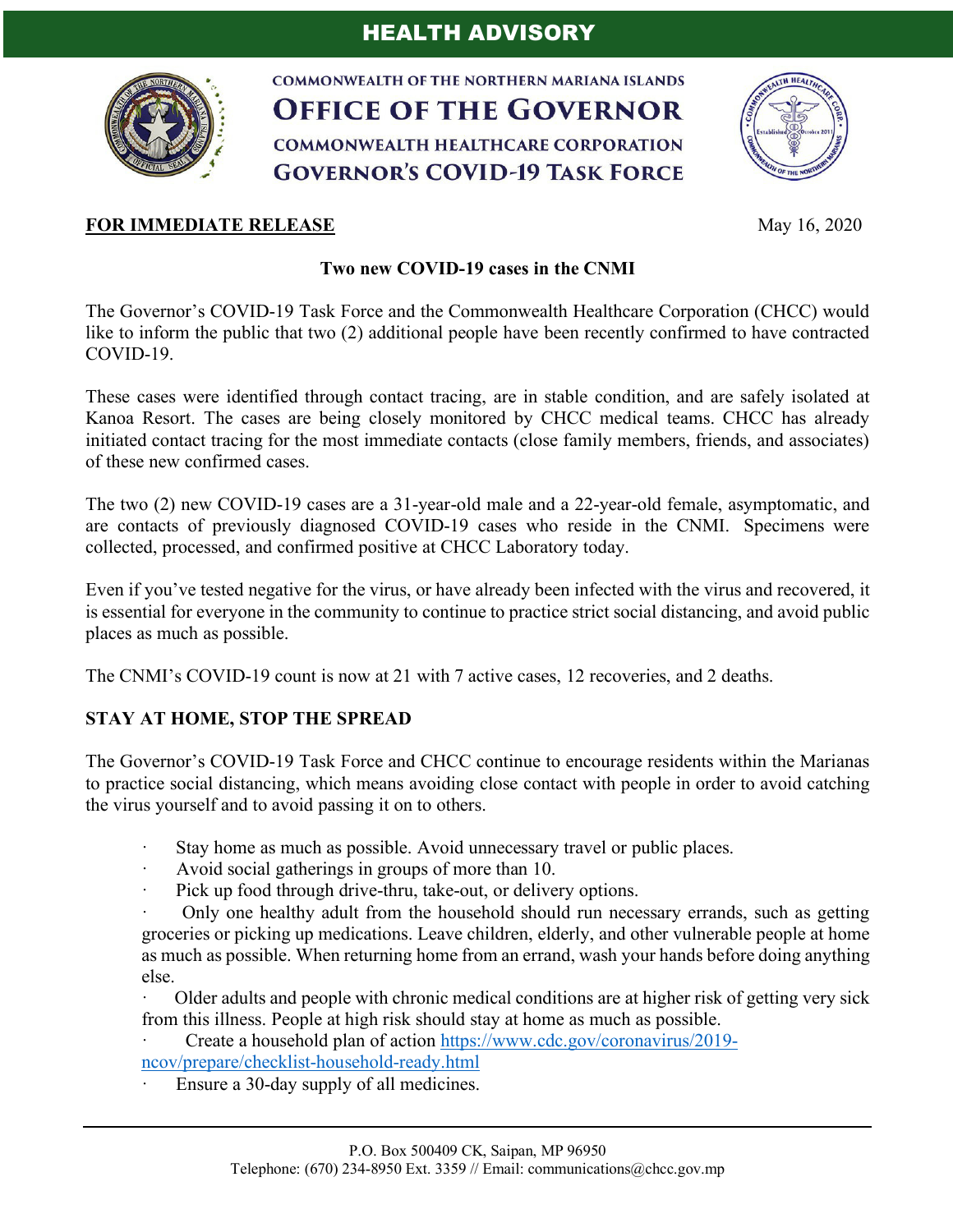

**COMMONWEALTH OF THE NORTHERN MARIANA ISLANDS OFFICE OF THE GOVERNOR COMMONWEALTH HEALTHCARE CORPORATION GOVERNOR'S COVID-19 TASK FORCE** 



## **FOR IMMEDIATE RELEASE** May 16, 2020

## **Two new COVID-19 cases in the CNMI**

The Governor's COVID-19 Task Force and the Commonwealth Healthcare Corporation (CHCC) would like to inform the public that two (2) additional people have been recently confirmed to have contracted COVID-19.

These cases were identified through contact tracing, are in stable condition, and are safely isolated at Kanoa Resort. The cases are being closely monitored by CHCC medical teams. CHCC has already initiated contact tracing for the most immediate contacts (close family members, friends, and associates) of these new confirmed cases.

The two (2) new COVID-19 cases are a 31-year-old male and a 22-year-old female, asymptomatic, and are contacts of previously diagnosed COVID-19 cases who reside in the CNMI. Specimens were collected, processed, and confirmed positive at CHCC Laboratory today.

Even if you've tested negative for the virus, or have already been infected with the virus and recovered, it is essential for everyone in the community to continue to practice strict social distancing, and avoid public places as much as possible.

The CNMI's COVID-19 count is now at 21 with 7 active cases, 12 recoveries, and 2 deaths.

## **STAY AT HOME, STOP THE SPREAD**

The Governor's COVID-19 Task Force and CHCC continue to encourage residents within the Marianas to practice social distancing, which means avoiding close contact with people in order to avoid catching the virus yourself and to avoid passing it on to others.

- Stay home as much as possible. Avoid unnecessary travel or public places.
- Avoid social gatherings in groups of more than 10.
- · Pick up food through drive-thru, take-out, or delivery options.

· Only one healthy adult from the household should run necessary errands, such as getting groceries or picking up medications. Leave children, elderly, and other vulnerable people at home as much as possible. When returning home from an errand, wash your hands before doing anything else.

· Older adults and people with chronic medical conditions are at higher risk of getting very sick from this illness. People at high risk should stay at home as much as possible.

· Create a household plan of action https://www.cdc.gov/coronavirus/2019 ncov/prepare/checklist-household-ready.html

Ensure a 30-day supply of all medicines.